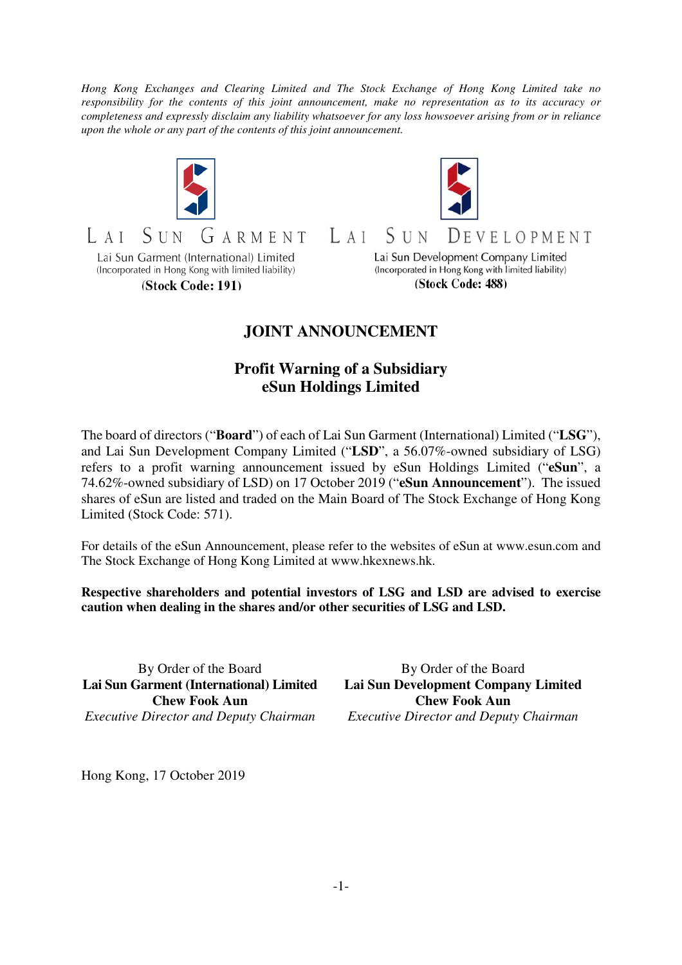*Hong Kong Exchanges and Clearing Limited and The Stock Exchange of Hong Kong Limited take no responsibility for the contents of this joint announcement, make no representation as to its accuracy or completeness and expressly disclaim any liability whatsoever for any loss howsoever arising from or in reliance upon the whole or any part of the contents of this joint announcement.* 





GARMENT  $S_{IIN}$  $AA$ Lai Sun Garment (International) Limited

(Incorporated in Hong Kong with limited liability)

(Stock Code: 191)

Lai Sun Development Company Limited (Incorporated in Hong Kong with limited liability) (Stock Code: 488)

## **JOINT ANNOUNCEMENT**

 $I \cdot A I$ 

SUN

## **Profit Warning of a Subsidiary eSun Holdings Limited**

The board of directors ("**Board**") of each of Lai Sun Garment (International) Limited ("**LSG**"), and Lai Sun Development Company Limited ("**LSD**", a 56.07%-owned subsidiary of LSG) refers to a profit warning announcement issued by eSun Holdings Limited ("**eSun**", a 74.62%-owned subsidiary of LSD) on 17 October 2019 ("**eSun Announcement**"). The issued shares of eSun are listed and traded on the Main Board of The Stock Exchange of Hong Kong Limited (Stock Code: 571).

For details of the eSun Announcement, please refer to the websites of eSun at www.esun.com and The Stock Exchange of Hong Kong Limited at www.hkexnews.hk.

**Respective shareholders and potential investors of LSG and LSD are advised to exercise caution when dealing in the shares and/or other securities of LSG and LSD.** 

By Order of the Board **Lai Sun Garment (International) Limited Chew Fook Aun**  *Executive Director and Deputy Chairman*

By Order of the Board **Lai Sun Development Company Limited Chew Fook Aun**  *Executive Director and Deputy Chairman* 

Hong Kong, 17 October 2019